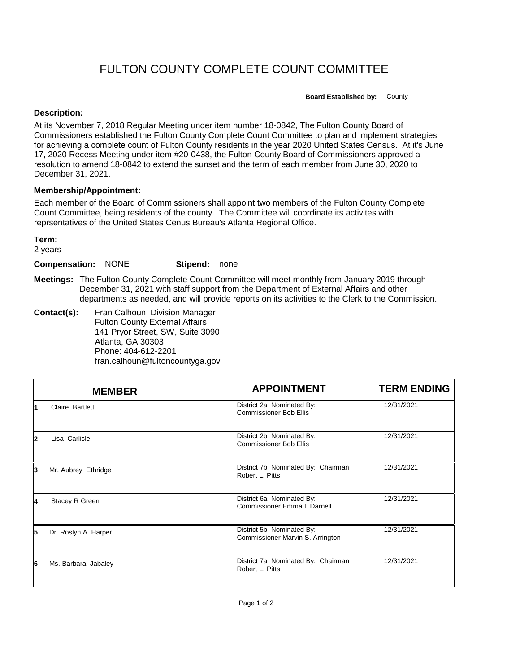## FULTON COUNTY COMPLETE COUNT COMMITTEE

**Board Established by:** County

## **Description:**

At its November 7, 2018 Regular Meeting under item number 18-0842, The Fulton County Board of Commissioners established the Fulton County Complete Count Committee to plan and implement strategies for achieving a complete count of Fulton County residents in the year 2020 United States Census. At it's June 17, 2020 Recess Meeting under item #20-0438, the Fulton County Board of Commissioners approved a resolution to amend 18-0842 to extend the sunset and the term of each member from June 30, 2020 to December 31, 2021.

## **Membership/Appointment:**

Each member of the Board of Commissioners shall appoint two members of the Fulton County Complete Count Committee, being residents of the county. The Committee will coordinate its activites with reprsentatives of the United States Cenus Bureau's Atlanta Regional Office.

**Term:**

2 years

**Compensation:** NONE **Stipend:** none

**Meetings:** The Fulton County Complete Count Committee will meet monthly from January 2019 through December 31, 2021 with staff support from the Department of External Affairs and other departments as needed, and will provide reports on its activities to the Clerk to the Commission.

**Contact(s):** Fran Calhoun, Division Manager Fulton County External Affairs 141 Pryor Street, SW, Suite 3090 Atlanta, GA 30303 Phone: 404-612-2201 fran.calhoun@fultoncountyga.gov

|                         | <b>MEMBER</b>        | <b>APPOINTMENT</b>                                            | <b>TERM ENDING</b> |
|-------------------------|----------------------|---------------------------------------------------------------|--------------------|
| 1                       | Claire Bartlett      | District 2a Nominated By:<br><b>Commissioner Bob Ellis</b>    | 12/31/2021         |
| $\overline{\mathbf{2}}$ | Lisa Carlisle        | District 2b Nominated By:<br><b>Commissioner Bob Ellis</b>    | 12/31/2021         |
| 3                       | Mr. Aubrey Ethridge  | District 7b Nominated By: Chairman<br>Robert L. Pitts         | 12/31/2021         |
| 4                       | Stacey R Green       | District 6a Nominated By:<br>Commissioner Emma I. Darnell     | 12/31/2021         |
| 5                       | Dr. Roslyn A. Harper | District 5b Nominated By:<br>Commissioner Marvin S. Arrington | 12/31/2021         |
| 6                       | Ms. Barbara Jabaley  | District 7a Nominated By: Chairman<br>Robert L. Pitts         | 12/31/2021         |